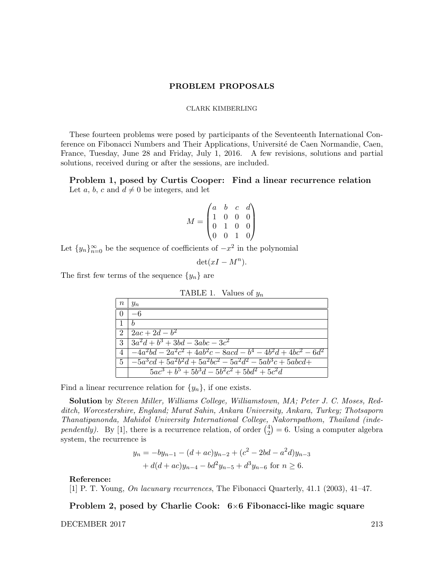#### PROBLEM PROPOSALS

#### CLARK KIMBERLING

These fourteen problems were posed by participants of the Seventeenth International Conference on Fibonacci Numbers and Their Applications, Université de Caen Normandie, Caen, France, Tuesday, June 28 and Friday, July 1, 2016. A few revisions, solutions and partial solutions, received during or after the sessions, are included.

Problem 1, posed by Curtis Cooper: Find a linear recurrence relation Let a, b, c and  $d \neq 0$  be integers, and let

$$
M = \begin{pmatrix} a & b & c & d \\ 1 & 0 & 0 & 0 \\ 0 & 1 & 0 & 0 \\ 0 & 0 & 1 & 0 \end{pmatrix}
$$

Let  ${y_n}_{n=0}^{\infty}$  be the sequence of coefficients of  $-x^2$  in the polynomial

$$
\det(xI - M^n).
$$

The first few terms of the sequence  $\{y_n\}$  are

| TABLE 1. Values of $y_n$ |                                                                  |  |  |  |  |  |  |
|--------------------------|------------------------------------------------------------------|--|--|--|--|--|--|
| $\, n$                   | $y_n$                                                            |  |  |  |  |  |  |
| $\Omega$                 | $-6$                                                             |  |  |  |  |  |  |
| $\overline{1}$           | $\boldsymbol{h}$                                                 |  |  |  |  |  |  |
| 2                        | $\frac{2ac+2d-b^2}{2a}$                                          |  |  |  |  |  |  |
| 3                        | $\sqrt{3a^2d+b^3+3bd-3abc-3c^2}$                                 |  |  |  |  |  |  |
| $\overline{4}$           | $-4a^2bd - 2a^2c^2 + 4ab^2c - 8acd - b^4 - 4b^2d + 4bc^2 - 6d^2$ |  |  |  |  |  |  |
| -5                       | $\sqrt{-5a^3cd+5a^2b^2d+5a^2bc^2-5a^2d^2-5ab^3c+5abcd+}$         |  |  |  |  |  |  |
|                          | $5ac^3 + b^5 + 5b^3d - 5b^2c^2 + 5bd^2 + 5c^2d$                  |  |  |  |  |  |  |

Find a linear recurrence relation for  $\{y_n\}$ , if one exists.

Solution by Steven Miller, Williams College, Williamstown, MA; Peter J. C. Moses, Redditch, Worcestershire, England; Murat Sahin, Ankara University, Ankara, Turkey; Thotsaporn Thanatipanonda, Mahidol University International College, Nakornpathom, Thailand (independently). By [1], there is a recurrence relation, of order  $\binom{4}{2}$  $\binom{4}{2}$  = 6. Using a computer algebra system, the recurrence is

$$
y_n = -by_{n-1} - (d+ac)y_{n-2} + (c^2 - 2bd - a^2d)y_{n-3}
$$
  
+  $d(d+ac)y_{n-4} - bd^2y_{n-5} + d^3y_{n-6}$  for  $n \ge 6$ .

## Reference:

[1] P. T. Young, On lacunary recurrences, The Fibonacci Quarterly, 41.1 (2003), 41–47.

Problem 2, posed by Charlie Cook: 6×6 Fibonacci-like magic square

DECEMBER 2017 213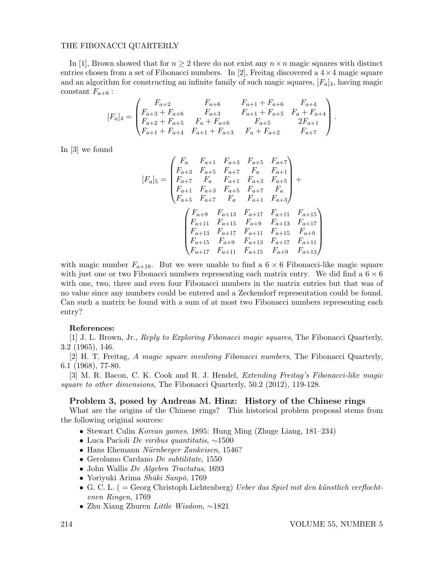#### THE FIBONACCI QUARTERLY

In [1], Brown showed that for  $n \geq 2$  there do not exist any  $n \times n$  magic squares with distinct entries chosen from a set of Fibonacci numbers. In [2], Freitag discovered a  $4 \times 4$  magic square and an algorithm for constructing an infinite family of such magic squares,  $[F_a]_4$ , having magic constant  $F_{a+8}$ :

$$
[F_a]_4 = \begin{pmatrix} F_{a+2} & F_{a+6} & F_{a+1} + F_{a+6} & F_{a+4} \\ F_{a+3} + F_{a+6} & F_{a+3} & F_{a+1} + F_{a+5} & F_a + F_{a+4} \\ F_{a+2} + F_{a+5} & F_a + F_{a+6} & F_{a+5} & 2F_{a+1} \\ F_{a+1} + F_{a+4} & F_{a+1} + F_{a+3} & F_a + F_{a+2} & F_{a+7} \end{pmatrix}.
$$

In [3] we found

$$
[F_a]_5 = \begin{pmatrix} F_a & F_{a+1} & F_{a+3} & F_{a+5} & F_{a+7} \\ F_{a+3} & F_{a+5} & F_{a+7} & F_a & F_{a+1} \\ F_{a+7} & F_a & F_{a+1} & F_{a+3} & F_{a+5} \\ F_{a+1} & F_{a+3} & F_{a+5} & F_{a+7} & F_a \\ F_{a+5} & F_{a+7} & F_a & F_{a+1} & F_{a+3} \end{pmatrix} +
$$

$$
\begin{pmatrix} F_{a+9} & F_{a+13} & F_{a+17} & F_{a+11} & F_{a+15} \\ F_{a+11} & F_{a+15} & F_{a+9} & F_{a+13} & F_{a+17} \\ F_{a+13} & F_{a+17} & F_{a+11} & F_{a+15} & F_{a+9} \\ F_{a+15} & F_{a+9} & F_{a+13} & F_{a+17} & F_{a+11} \\ F_{a+17} & F_{a+11} & F_{a+15} & F_{a+9} & F_{a+13} \end{pmatrix}
$$

with magic number  $F_{a+18}$ . But we were unable to find a 6  $\times$  6 Fibonacci-like magic square with just one or two Fibonacci numbers representing each matrix entry. We did find a  $6 \times 6$ with one, two, three and even four Fibonacci numbers in the matrix entries but that was of no value since any numbers could be entered and a Zeckendorf representation could be found. Can such a matrix be found with a sum of at most two Fibonacci numbers representing each entry?

#### References:

[1] J. L. Brown, Jr., Reply to Exploring Fibonacci magic squares, The Fibonacci Quarterly, 3.2 (1965), 146.

[2] H. T. Freitag, A magic square involving Fibonacci numbers, The Fibonacci Quarterly, 6.1 (1968), 77-80.

[3] M. R. Bacon, C. K. Cook and R. J. Hendel, Extending Freitag's Fibonacci-like magic square to other dimensions, The Fibonacci Quarterly, 50.2 (2012), 119-128.

#### Problem 3, posed by Andreas M. Hinz: History of the Chinese rings

What are the origins of the Chinese rings? This historical problem proposal stems from the following original sources:

- Stewart Culin Korean games, 1895: Hung Ming (Zhuge Liang, 181–234)
- Luca Pacioli De viribus quantitatis,  $\sim$ 1500
- Hans Ehemann Nürnberger Zankeisen, 1546?
- Gerolamo Cardano De subtilitate, 1550
- John Wallis De Algebra Tractatus, 1693
- Yoriyuki Arima Shūki Sanpō, 1769
- G. C. L. ( = Georg Christoph Lichtenberg) Ueber das Spiel mit den künstlich verflochtenen Ringen, 1769
- Zhu Xiang Zhuren Little Wisdom, ∼1821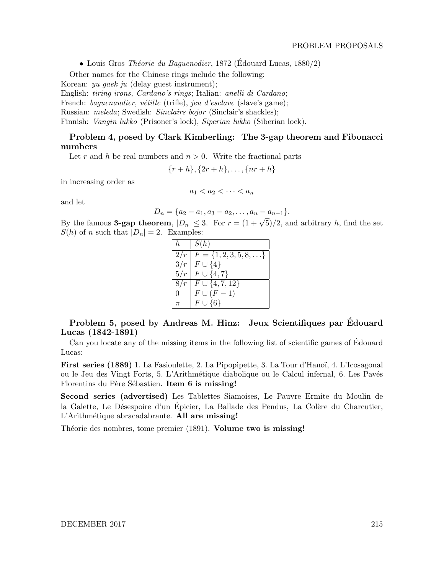• Louis Gros Théorie du Baguenodier, 1872 (Édouard Lucas, 1880/2)

Other names for the Chinese rings include the following:

Korean: yu gaek ju (delay guest instrument);

English: tiring irons, Cardano's rings; Italian: anelli di Cardano;

French: baguenaudier, vétille (trifle), jeu d'esclave (slave's game);

Russian: meleda; Swedish: Sinclairs bojor (Sinclair's shackles);

Finnish: Vangin lukko (Prisoner's lock), Siperian lukko (Siberian lock).

## Problem 4, posed by Clark Kimberling: The 3-gap theorem and Fibonacci numbers

Let r and h be real numbers and  $n > 0$ . Write the fractional parts

 $\{r+h\}, \{2r+h\}, \ldots, \{nr+h\}$ 

in increasing order as

$$
a_1 < a_2 < \cdots < a_n
$$

and let

$$
D_n = \{a_2 - a_1, a_3 - a_2, \ldots, a_n - a_{n-1}\}.
$$

By the famous **3-gap theorem**,  $|D_n| \leq 3$ . For  $r = (1 + \sqrt{5})/2$ , and arbitrary h, find the set  $S(h)$  of n such that  $|D_n| = 2$ . Examples:

| $\hbar$  | S(h)                                 |
|----------|--------------------------------------|
| 2/r      | $F = \{1, 2, 3, 5, 8, \ldots\}$      |
|          | $3/r   F \cup \{4\}$                 |
|          | $\overline{5/r \mid F \cup \{4,7\}}$ |
| 8/r      | $F \cup \{4, 7, 12\}$                |
| $\theta$ | $F\cup (F-1)$                        |
| $\pi$    | $F\cup \{6\}$                        |

Problem 5, posed by Andreas M. Hinz: Jeux Scientifiques par Edouard ´ Lucas (1842-1891)

Can you locate any of the missing items in the following list of scientific games of Edouard ´ Lucas:

First series (1889) 1. La Fasioulette, 2. La Pipopipette, 3. La Tour d'Hanoï, 4. L'Icosagonal ou le Jeu des Vingt Forts, 5. L'Arithm´etique diabolique ou le Calcul infernal, 6. Les Pav´es Florentins du Père Sébastien. Item 6 is missing!

Second series (advertised) Les Tablettes Siamoises, Le Pauvre Ermite du Moulin de la Galette, Le Désespoire d'un Épicier, La Ballade des Pendus, La Colère du Charcutier, L'Arithmétique abracadabrante. All are missing!

Théorie des nombres, tome premier (1891). Volume two is missing!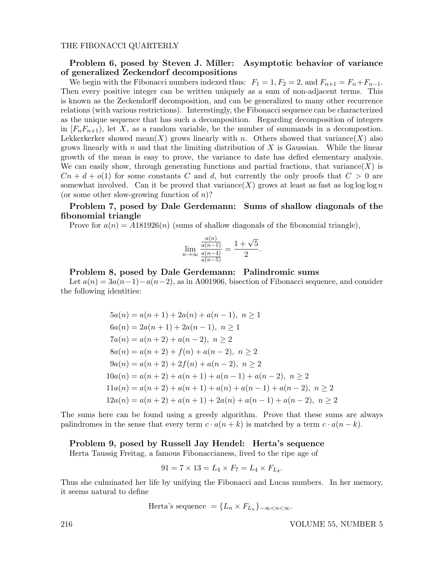## Problem 6, posed by Steven J. Miller: Asymptotic behavior of variance of generalized Zeckendorf decompositions

We begin with the Fibonacci numbers indexed thus:  $F_1 = 1, F_2 = 2$ , and  $F_{n+1} = F_n + F_{n-1}$ . Then every positive integer can be written uniquely as a sum of non-adjacent terms. This is known as the Zeckendorff decomposition, and can be generalized to many other recurrence relations (with various restrictions). Interestingly, the Fibonacci sequence can be characterized as the unique sequence that has such a decomposition. Regarding decomposition of integers in  $[F<sub>n</sub>F<sub>n+1</sub>)$ , let X, as a random variable, be the number of summands in a decompostion. Lekkerkerker showed mean $(X)$  grows linearly with n. Others showed that variance  $(X)$  also grows linearly with n and that the limiting distribution of  $X$  is Gaussian. While the linear growth of the mean is easy to prove, the variance to date has defied elementary analysis. We can easily show, through generating functions and partial fractions, that variance  $(X)$  is  $Cn + d + o(1)$  for some constants C and d, but currently the only proofs that  $C > 0$  are somewhat involved. Can it be proved that variance  $(X)$  grows at least as fast as  $\log \log \log n$ (or some other slow-growing function of  $n$ )?

## Problem 7, posed by Dale Gerdemann: Sums of shallow diagonals of the fibonomial triangle

Prove for  $a(n) = A181926(n)$  (sums of shallow diagonals of the fibonomial triangle),

$$
\lim_{n \to \infty} \frac{\frac{a(n)}{a(n-1)}}{\frac{a(n-4)}{a(n-5)}} = \frac{1 + \sqrt{5}}{2}.
$$

#### Problem 8, posed by Dale Gerdemann: Palindromic sums

Let  $a(n) = 3a(n-1)-a(n-2)$ , as in A001906, bisection of Fibonacci sequence, and consider the following identities:

$$
5a(n) = a(n + 1) + 2a(n) + a(n - 1), \ n \ge 1
$$
  
\n
$$
6a(n) = 2a(n + 1) + 2a(n - 1), \ n \ge 1
$$
  
\n
$$
7a(n) = a(n + 2) + a(n - 2), \ n \ge 2
$$
  
\n
$$
8a(n) = a(n + 2) + f(n) + a(n - 2), \ n \ge 2
$$
  
\n
$$
9a(n) = a(n + 2) + 2f(n) + a(n - 2), \ n \ge 2
$$
  
\n
$$
10a(n) = a(n + 2) + a(n + 1) + a(n - 1) + a(n - 2), \ n \ge 2
$$
  
\n
$$
11a(n) = a(n + 2) + a(n + 1) + a(n) + a(n - 1) + a(n - 2), \ n \ge 2
$$
  
\n
$$
12a(n) = a(n + 2) + a(n + 1) + 2a(n) + a(n - 1) + a(n - 2), \ n \ge 2
$$

The sums here can be found using a greedy algorithm. Prove that these sums are always palindromes in the sense that every term  $c \cdot a(n+k)$  is matched by a term  $c \cdot a(n-k)$ .

Problem 9, posed by Russell Jay Hendel: Herta's sequence

Herta Taussig Freitag, a famous Fibonaccianess, lived to the ripe age of

$$
91 = 7 \times 13 = L_4 \times F_7 = L_4 \times F_{L_4}.
$$

Thus she culminated her life by unifying the Fibonacci and Lucas numbers. In her memory, it seems natural to define

Herta's sequence =  $\{L_n \times F_{L_n}\}_{-\infty < n < \infty}$ .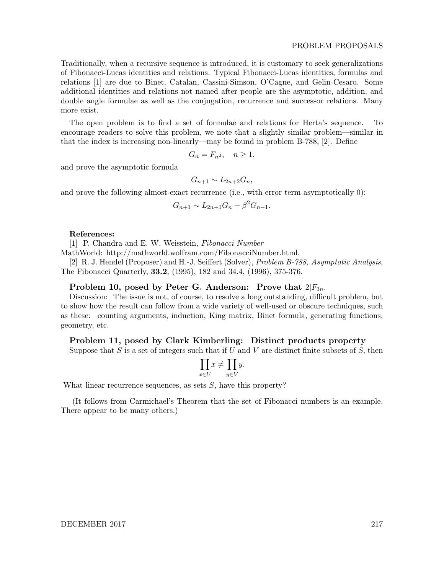Traditionally, when a recursive sequence is introduced, it is customary to seek generalizations of Fibonacci-Lucas identities and relations. Typical Fibonacci-Lucas identities, formulas and relations [1] are due to Binet, Catalan, Cassini-Simson, O'Cagne, and Gelin-Cesaro. Some additional identities and relations not named after people are the asymptotic, addition, and double angle formulae as well as the conjugation, recurrence and successor relations. Many more exist.

The open problem is to find a set of formulae and relations for Herta's sequence. To encourage readers to solve this problem, we note that a slightly similar problem—similar in that the index is increasing non-linearly—may be found in problem B-788, [2]. Define

$$
G_n = F_{n^2}, \quad n \ge 1,
$$

and prove the asymptotic formula

$$
G_{n+1} \sim L_{2n+2}G_n,
$$

and prove the following almost-exact recurrence (i.e., with error term asymptotically 0):

$$
G_{n+1} \sim L_{2n+1}G_n + \beta^2 G_{n-1}.
$$

#### References:

[1] P. Chandra and E. W. Weisstein, Fibonacci Number

MathWorld: http://mathworld.wolfram.com/FibonacciNumber.html.

[2] R. J. Hendel (Proposer) and H.-J. Seiffert (Solver), Problem B-788, Asymptotic Analysis, The Fibonacci Quarterly, 33.2, (1995), 182 and 34.4, (1996), 375-376.

#### Problem 10, posed by Peter G. Anderson: Prove that  $2|F_{3n}$ .

Discussion: The issue is not, of course, to resolve a long outstanding, difficult problem, but to show how the result can follow from a wide variety of well-used or obscure techniques, such as these: counting arguments, induction, King matrix, Binet formula, generating functions, geometry, etc.

### Problem 11, posed by Clark Kimberling: Distinct products property

Suppose that S is a set of integers such that if U and V are distinct finite subsets of  $S$ , then

$$
\prod_{x \in U} x \neq \prod_{y \in V} y.
$$

What linear recurrence sequences, as sets  $S$ , have this property?

(It follows from Carmichael's Theorem that the set of Fibonacci numbers is an example. There appear to be many others.)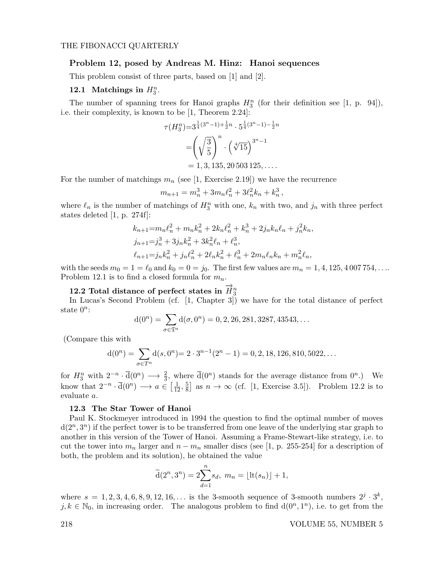#### Problem 12, posed by Andreas M. Hinz: Hanoi sequences

This problem consist of three parts, based on [1] and [2].

## 12.1 Matchings in  $H_3^n$ .

The number of spanning trees for Hanoi graphs  $H_3^n$  (for their definition see [1, p. 94]), i.e. their complexity, is known to be [1, Theorem 2.24]:

$$
\tau(H_3^n) = 3^{\frac{1}{4}(3^n - 1) + \frac{1}{2}n} \cdot 5^{\frac{1}{4}(3^n - 1) - \frac{1}{2}n}
$$

$$
= \left(\sqrt{\frac{3}{5}}\right)^n \cdot \left(\sqrt[4]{15}\right)^{3^n - 1}
$$

$$
= 1, 3, 135, 20503125, \dots
$$

For the number of matchings  $m_n$  (see [1, Exercise 2.19]) we have the recurrence

$$
m_{n+1} = m_n^3 + 3m_n \ell_n^2 + 3\ell_n^2 k_n + k_n^3,
$$

where  $\ell_n$  is the number of matchings of  $H_3^n$  with one,  $k_n$  with two, and  $j_n$  with three perfect states deleted [1, p. 274f]:

$$
k_{n+1} = m_n \ell_n^2 + m_n k_n^2 + 2k_n \ell_n^2 + k_n^3 + 2j_n k_n \ell_n + j_n^2 k_n,
$$
  
\n
$$
j_{n+1} = j_n^3 + 3j_n k_n^2 + 3k_n^2 \ell_n + \ell_n^3,
$$
  
\n
$$
\ell_{n+1} = j_n k_n^2 + j_n \ell_n^2 + 2\ell_n k_n^2 + \ell_n^3 + 2m_n \ell_n k_n + m_n^2 \ell_n,
$$

with the seeds  $m_0 = 1 = \ell_0$  and  $k_0 = 0 = j_0$ . The first few values are  $m_n = 1, 4, 125, 4007754, \ldots$ Problem 12.1 is to find a closed formula for  $m_n$ .

# 12.2 Total distance of perfect states in  $\overrightarrow{H}_3^n$

In Lucas's Second Problem (cf. [1, Chapter 3]) we have for the total distance of perfect state  $0^n$ :

$$
d(0^n) = \sum_{\sigma \in \mathfrak{T}^n} d(\sigma, 0^n) = 0, 2, 26, 281, 3287, 43543, \dots
$$

(Compare this with

$$
d(0^n) = \sum_{\sigma \in T^n} d(s, 0^n) = 2 \cdot 3^{n-1} (2^n - 1) = 0, 2, 18, 126, 810, 5022, \dots
$$

for  $H_3^n$  with  $2^{-n} \cdot \overline{d}(0^n) \longrightarrow \frac{2}{3}$ , where  $\overline{d}(0^n)$  stands for the average distance from  $0^n$ .) We know that  $2^{-n} \cdot \overline{d}(0^n) \longrightarrow a \in \left[\frac{1}{12}, \frac{5}{8}\right]$  $\frac{5}{8}$  as  $n \to \infty$  (cf. [1, Exercise 3.5]). Problem 12.2 is to evaluate a.

#### 12.3 The Star Tower of Hanoi

Paul K. Stockmeyer introduced in 1994 the question to find the optimal number of moves  $d(2^n,3^n)$  if the perfect tower is to be transferred from one leave of the underlying star graph to another in this version of the Tower of Hanoi. Assuming a Frame-Stewart-like strategy, i.e. to cut the tower into  $m_n$  larger and  $n - m_n$  smaller discs (see [1, p. 255-254] for a description of both, the problem and its solution), he obtained the value

$$
\widetilde{\mathbf{d}}(2^n, 3^n) = 2 \sum_{d=1}^n s_d, \ m_n = \lfloor \mathrm{lt}(s_n) \rfloor + 1,
$$

where  $s = 1, 2, 3, 4, 6, 8, 9, 12, 16, \ldots$  is the 3-smooth sequence of 3-smooth numbers  $2^j \cdot 3^k$ ,  $j, k \in \mathbb{N}_0$ , in increasing order. The analogous problem to find  $d(0^n, 1^n)$ , i.e. to get from the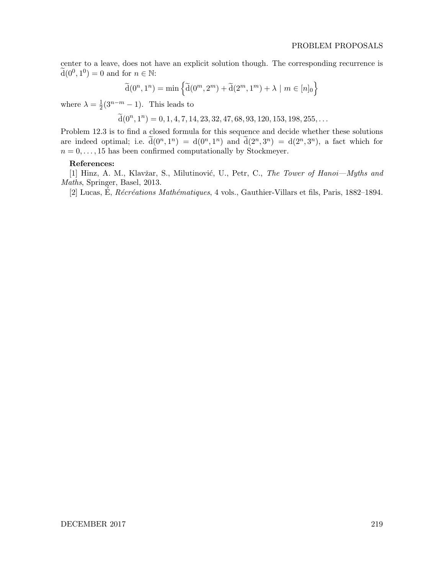center to a leave, does not have an explicit solution though. The corresponding recurrence is  $\widetilde{\mathrm{d}}(0^0, 1^0) = 0$  and for  $n \in \mathbb{N}$ :

$$
\widetilde{\mathbf{d}}(0^n, 1^n) = \min \left\{ \widetilde{\mathbf{d}}(0^m, 2^m) + \widetilde{\mathbf{d}}(2^m, 1^m) + \lambda \mid m \in [n]_0 \right\}
$$

where  $\lambda = \frac{1}{2}$  $\frac{1}{2}(3^{n-m}-1)$ . This leads to

$$
\widetilde{\mathrm{d}}(0^n, 1^n) = 0, 1, 4, 7, 14, 23, 32, 47, 68, 93, 120, 153, 198, 255, \ldots
$$

Problem 12.3 is to find a closed formula for this sequence and decide whether these solutions are indeed optimal; i.e.  $\tilde{d}(0^n, 1^n) = d(0^n, 1^n)$  and  $\tilde{d}(2^n, 3^n) = d(2^n, 3^n)$ , a fact which for  $n = 0, \ldots, 15$  has been confirmed computationally by Stockmeyer.

#### References:

[1] Hinz, A. M., Klavžar, S., Milutinović, U., Petr, C., The Tower of Hanoi—Myths and Maths, Springer, Basel, 2013.

[2] Lucas, É,  $\mathcal{R}$ écréations Mathématiques, 4 vols., Gauthier-Villars et fils, Paris, 1882–1894.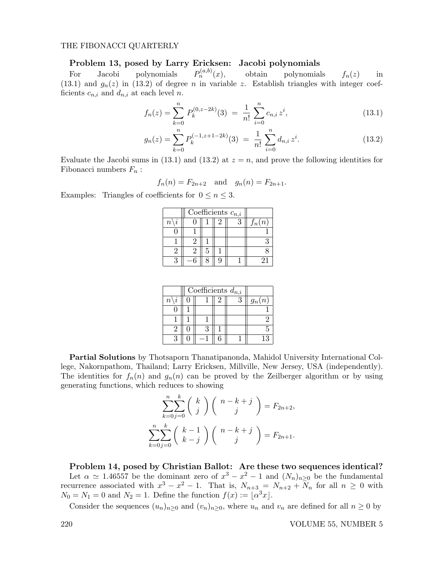#### THE FIBONACCI QUARTERLY

#### Problem 13, posed by Larry Ericksen: Jacobi polynomials

For Jacobi polynomials  $P_n^{(a,b)}(x),$ obtain polynomials  $f_n(z)$  in (13.1) and  $g_n(z)$  in (13.2) of degree n in variable z. Establish triangles with integer coefficients  $c_{n,i}$  and  $d_{n,i}$  at each level n.

$$
f_n(z) = \sum_{k=0}^n P_k^{(0,z-2k)}(3) = \frac{1}{n!} \sum_{i=0}^n c_{n,i} z^i,
$$
\n(13.1)

$$
g_n(z) = \sum_{k=0}^n P_k^{(-1,z+1-2k)}(3) = \frac{1}{n!} \sum_{i=0}^n d_{n,i} z^i.
$$
 (13.2)

Evaluate the Jacobi sums in (13.1) and (13.2) at  $z = n$ , and prove the following identities for Fibonacci numbers  $F_n$ :

$$
f_n(n) = F_{2n+2}
$$
 and  $g_n(n) = F_{2n+1}$ .

Examples: Triangles of coefficients for  $0 \le n \le 3$ .

|           | Coefficients $c_{n,i}$ |  |  |          |
|-----------|------------------------|--|--|----------|
| $\, n \,$ |                        |  |  | $f_n(n)$ |
|           |                        |  |  |          |
|           |                        |  |  |          |
|           |                        |  |  |          |
|           |                        |  |  |          |

|                                  | Coefficients $d_{n,i}$ |  |          |
|----------------------------------|------------------------|--|----------|
| $\overline{2}$<br>$\overline{n}$ |                        |  | $g_n(n)$ |
|                                  |                        |  |          |
|                                  |                        |  |          |
|                                  |                        |  |          |
|                                  |                        |  |          |

Partial Solutions by Thotsaporn Thanatipanonda, Mahidol University International College, Nakornpathom, Thailand; Larry Ericksen, Millville, New Jersey, USA (independently). The identities for  $f_n(n)$  and  $g_n(n)$  can be proved by the Zeilberger algorithm or by using generating functions, which reduces to showing

$$
\sum_{k=0}^{n} \sum_{j=0}^{k} {k \choose j} {n-k+j \choose j} = F_{2n+2},
$$
  

$$
\sum_{k=0}^{n} \sum_{j=0}^{k} {k-1 \choose k-j} {n-k+j \choose j} = F_{2n+1}.
$$

Problem 14, posed by Christian Ballot: Are these two sequences identical? Let  $\alpha \simeq 1.46557$  be the dominant zero of  $x^3 - x^2 - 1$  and  $(N_n)_{n \geq 0}$  be the fundamental recurrence associated with  $x^3 - x^2 - 1$ . That is,  $N_{n+3} = N_{n+2} + N_n$  for all  $n \geq 0$  with  $N_0 = N_1 = 0$  and  $N_2 = 1$ . Define the function  $f(x) := [\alpha^3 x]$ .

Consider the sequences  $(u_n)_{n>0}$  and  $(v_n)_{n>0}$ , where  $u_n$  and  $v_n$  are defined for all  $n \geq 0$  by

220 VOLUME 55, NUMBER 5